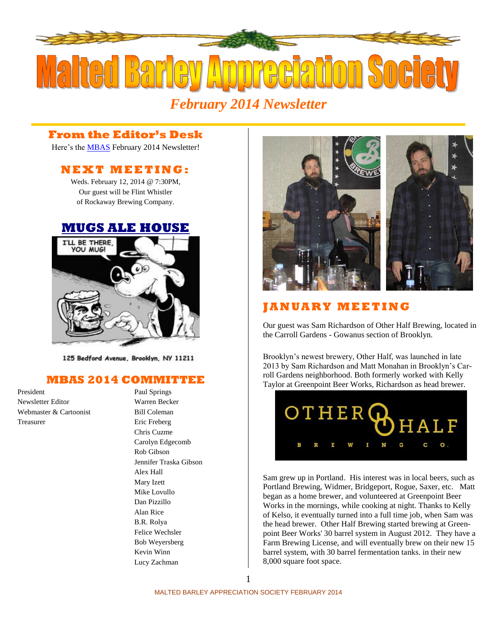

# *February 2014 Newsletter*

#### **From the Editor's Desk**

Here's the **MBAS** February 2014 Newsletter!

### **N E X T M E ETI N G :**

Weds. February 12, 2014 @ 7:30PM, Our guest will be Flint Whistler of Rockaway Brewing Company.

#### **[MUGS ALE HOUSE](http://www.mugsalehouse.com/)**



125 Bedford Avenue, Brooklyn, NY 11211

### **MBAS 2014 COMMITTEE**

President Paul Springs Newsletter Editor Warren Becker Webmaster & Cartoonist Bill Coleman Treasurer Eric Freberg

Chris Cuzme Carolyn Edgecomb Rob Gibson Jennifer Traska Gibson Alex Hall Mary Izett Mike Lovullo Dan Pizzillo Alan Rice B.R. Rolya Felice Wechsler Bob Weyersberg Kevin Winn Lucy Zachman



## **J A N U A R Y M E E T I N G**

Our guest was Sam Richardson of [Other Half Brewing,](http://otherhalfbrewing.com/) located in the Carroll Gardens - Gowanus section of Brooklyn.

Brooklyn's newest brewery, Other Half, was launched in late 2013 by Sam Richardson and Matt Monahan in Brooklyn's Carroll Gardens neighborhood. Both formerly worked with Kelly Taylor at Greenpoint Beer Works, Richardson as head brewer.



Sam grew up in Portland. His interest was in local beers, such as Portland Brewing, Widmer, Bridgeport, Rogue, Saxer, etc. Matt began as a home brewer, and volunteered at Greenpoint Beer Works in the mornings, while cooking at night. Thanks to Kelly of Kelso, it eventually turned into a full time job, when Sam was the head brewer. Other Half Brewing started brewing at Greenpoint Beer Works' 30 barrel system in August 2012. They have a Farm Brewing License, and will eventually brew on their new 15 barrel system, with 30 barrel fermentation tanks. in their new 8,000 square foot space.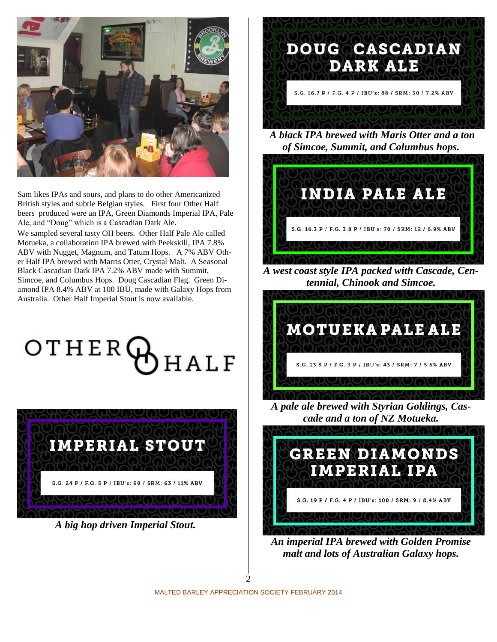

Sam likes IPAs and sours, and plans to do other Americanized British styles and subtle Belgian styles. First four Other Half beers produced were an IPA, Green Diamonds Imperial IPA, Pale Ale, and "Doug" which is a Cascadian Dark Ale.

We sampled several tasty OH beers. Other Half Pale Ale called Motueka, a collaboration IPA brewed with Peekskill, IPA 7.8% ABV with Nugget, Magnum, and Tatum Hops. A 7% ABV Other Half IPA brewed with Marris Otter, Crystal Malt. A Seasonal Black Cascadian Dark IPA 7.2% ABV made with Summit, Simcoe, and Columbus Hops. Doug Cascadian Flag. Green Diamond IPA 8.4% ABV at 100 IBU, made with Galaxy Hops from Australia. Other Half Imperial Stout is now available.

OTHERG  $HALF$ 



*A big hop driven Imperial Stout.*



*A black IPA brewed with Maris Otter and a ton of Simcoe, Summit, and Columbus hops.*



*A west coast style IPA packed with Cascade, Centennial, Chinook and Simcoe.*



*A pale ale brewed with Styrian Goldings, Cascade and a ton of NZ Motueka.*



*An imperial IPA brewed with Golden Promise malt and lots of Australian Galaxy hops.*